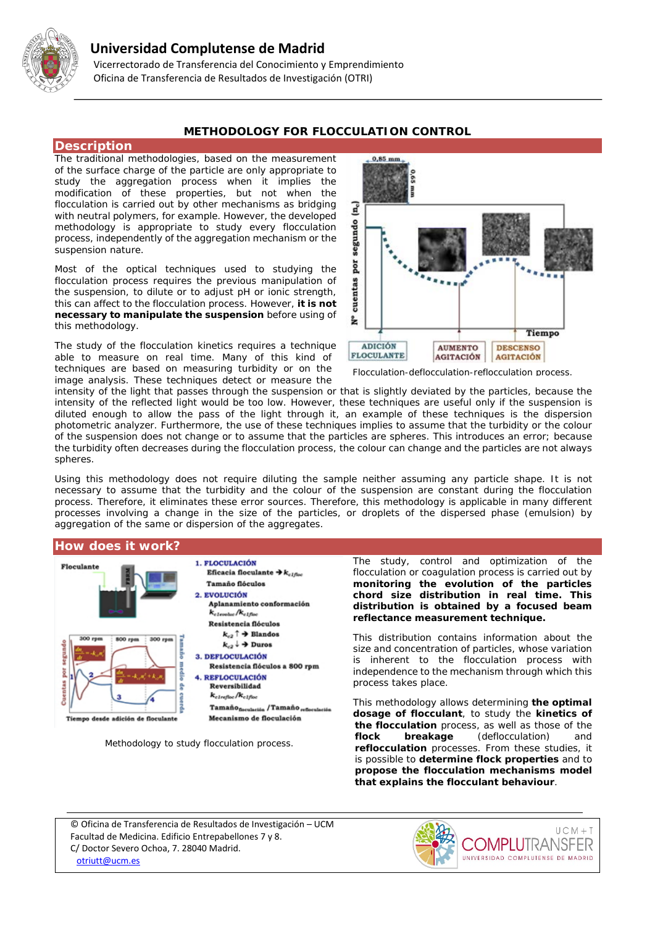

# **Universidad Complutense de Madrid**

 Vicerrectorado de Transferencia del Conocimiento y Emprendimiento Oficina de Transferencia de Resultados de Investigación (OTRI)

### **METHODOLOGY FOR FLOCCULATION CONTROL**

#### **Description**

The traditional methodologies, based on the measurement of the surface charge of the particle are only appropriate to study the aggregation process when it implies the modification of these properties, but not when the flocculation is carried out by other mechanisms as bridging with neutral polymers, for example. However, the developed methodology is appropriate to study every flocculation process, independently of the aggregation mechanism or the suspension nature.

Most of the optical techniques used to studying the flocculation process requires the previous manipulation of the suspension, to dilute or to adjust pH or ionic strength, this can affect to the flocculation process. However, **it is not necessary to manipulate the suspension** before using of this methodology.

The study of the flocculation kinetics requires a technique able to measure on real time. Many of this kind of techniques are based on measuring turbidity or on the image analysis. These techniques detect or measure the



*Flocculation-deflocculation-reflocculation process.*

intensity of the light that passes through the suspension or that is slightly deviated by the particles, because the intensity of the reflected light would be too low. However, these techniques are useful only if the suspension is diluted enough to allow the pass of the light through it, an example of these techniques is the dispersion photometric analyzer. Furthermore, the use of these techniques implies to assume that the turbidity or the colour of the suspension does not change or to assume that the particles are spheres. This introduces an error; because the turbidity often decreases during the flocculation process, the colour can change and the particles are not always spheres.

Using this methodology does not require diluting the sample neither assuming any particle shape. It is not necessary to assume that the turbidity and the colour of the suspension are constant during the flocculation process. Therefore, it eliminates these error sources. Therefore, this methodology is applicable in many different processes involving a change in the size of the particles, or droplets of the dispersed phase (emulsion) by aggregation of the same or dispersion of the aggregates.

### **How does it work?**



*Methodology to study flocculation process.*

The study, control and optimization of the flocculation or coagulation process is carried out by **monitoring the evolution of the particles chord size distribution in real time. This distribution is obtained by a focused beam reflectance measurement technique.**

This distribution contains information about the size and concentration of particles, whose variation is inherent to the flocculation process with independence to the mechanism through which this process takes place.

This methodology allows determining **the optimal dosage of flocculant**, to study the **kinetics of the flocculation** process, as well as those of the **flock breakage** (deflocculation) and **reflocculation** processes. From these studies, it is possible to **determine flock properties** and to **propose the flocculation mechanisms model that explains the flocculant behaviour**.

© Oficina de Transferencia de Resultados de Investigación – UCM Facultad de Medicina. Edificio Entrepabellones 7 y 8. C/ Doctor Severo Ochoa, 7. 28040 Madrid. [otriutt@ucm.es](mailto:otriutt@ucm.es;cnegro@quim.ucm.es?subject=METHODOLOGY%20FOR%20FLOCCULATION%20CONTROL)